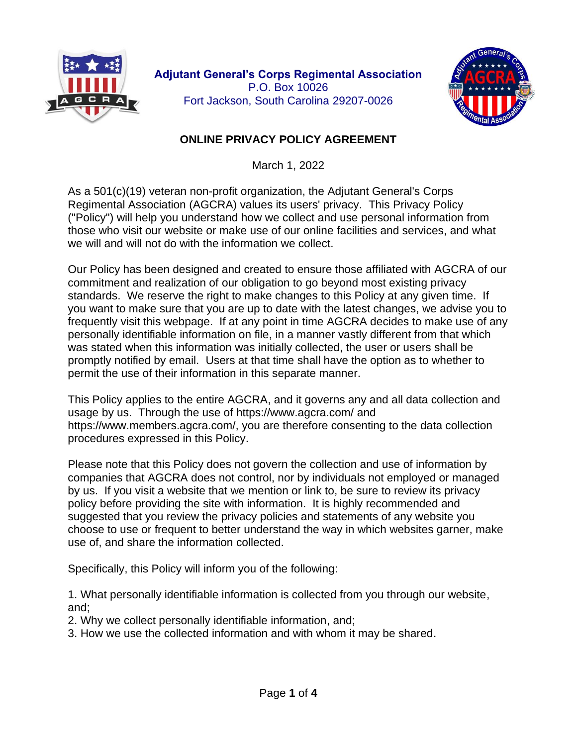



## **ONLINE PRIVACY POLICY AGREEMENT**

March 1, 2022

As a 501(c)(19) veteran non-profit organization, the Adjutant General's Corps Regimental Association (AGCRA) values its users' privacy. This Privacy Policy ("Policy") will help you understand how we collect and use personal information from those who visit our website or make use of our online facilities and services, and what we will and will not do with the information we collect.

Our Policy has been designed and created to ensure those affiliated with AGCRA of our commitment and realization of our obligation to go beyond most existing privacy standards. We reserve the right to make changes to this Policy at any given time. If you want to make sure that you are up to date with the latest changes, we advise you to frequently visit this webpage. If at any point in time AGCRA decides to make use of any personally identifiable information on file, in a manner vastly different from that which was stated when this information was initially collected, the user or users shall be promptly notified by email. Users at that time shall have the option as to whether to permit the use of their information in this separate manner.

This Policy applies to the entire AGCRA, and it governs any and all data collection and usage by us. Through the use of https://www.agcra.com/ and https://www.members.agcra.com/, you are therefore consenting to the data collection procedures expressed in this Policy.

Please note that this Policy does not govern the collection and use of information by companies that AGCRA does not control, nor by individuals not employed or managed by us. If you visit a website that we mention or link to, be sure to review its privacy policy before providing the site with information. It is highly recommended and suggested that you review the privacy policies and statements of any website you choose to use or frequent to better understand the way in which websites garner, make use of, and share the information collected.

Specifically, this Policy will inform you of the following:

1. What personally identifiable information is collected from you through our website, and;

- 2. Why we collect personally identifiable information, and;
- 3. How we use the collected information and with whom it may be shared.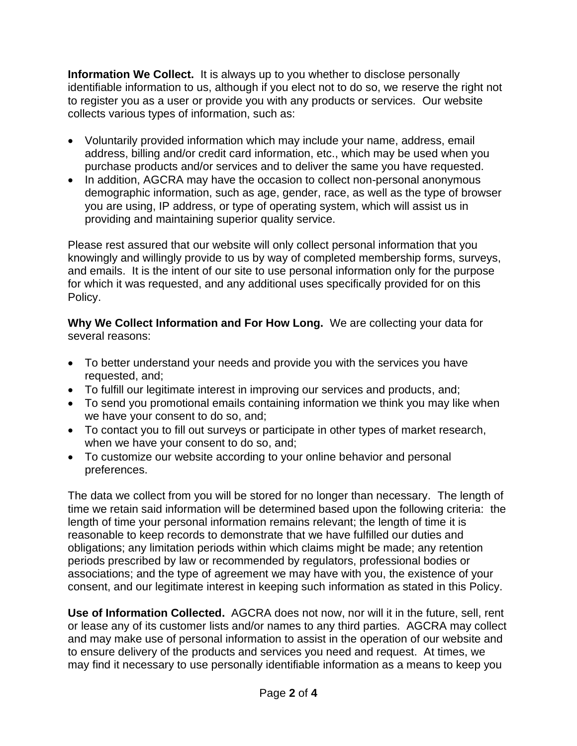**Information We Collect.** It is always up to you whether to disclose personally identifiable information to us, although if you elect not to do so, we reserve the right not to register you as a user or provide you with any products or services. Our website collects various types of information, such as:

- Voluntarily provided information which may include your name, address, email address, billing and/or credit card information, etc., which may be used when you purchase products and/or services and to deliver the same you have requested.
- In addition, AGCRA may have the occasion to collect non-personal anonymous demographic information, such as age, gender, race, as well as the type of browser you are using, IP address, or type of operating system, which will assist us in providing and maintaining superior quality service.

Please rest assured that our website will only collect personal information that you knowingly and willingly provide to us by way of completed membership forms, surveys, and emails. It is the intent of our site to use personal information only for the purpose for which it was requested, and any additional uses specifically provided for on this Policy.

**Why We Collect Information and For How Long.** We are collecting your data for several reasons:

- To better understand your needs and provide you with the services you have requested, and;
- To fulfill our legitimate interest in improving our services and products, and;
- To send you promotional emails containing information we think you may like when we have your consent to do so, and;
- To contact you to fill out surveys or participate in other types of market research, when we have your consent to do so, and;
- To customize our website according to your online behavior and personal preferences.

The data we collect from you will be stored for no longer than necessary. The length of time we retain said information will be determined based upon the following criteria: the length of time your personal information remains relevant; the length of time it is reasonable to keep records to demonstrate that we have fulfilled our duties and obligations; any limitation periods within which claims might be made; any retention periods prescribed by law or recommended by regulators, professional bodies or associations; and the type of agreement we may have with you, the existence of your consent, and our legitimate interest in keeping such information as stated in this Policy.

**Use of Information Collected.** AGCRA does not now, nor will it in the future, sell, rent or lease any of its customer lists and/or names to any third parties. AGCRA may collect and may make use of personal information to assist in the operation of our website and to ensure delivery of the products and services you need and request. At times, we may find it necessary to use personally identifiable information as a means to keep you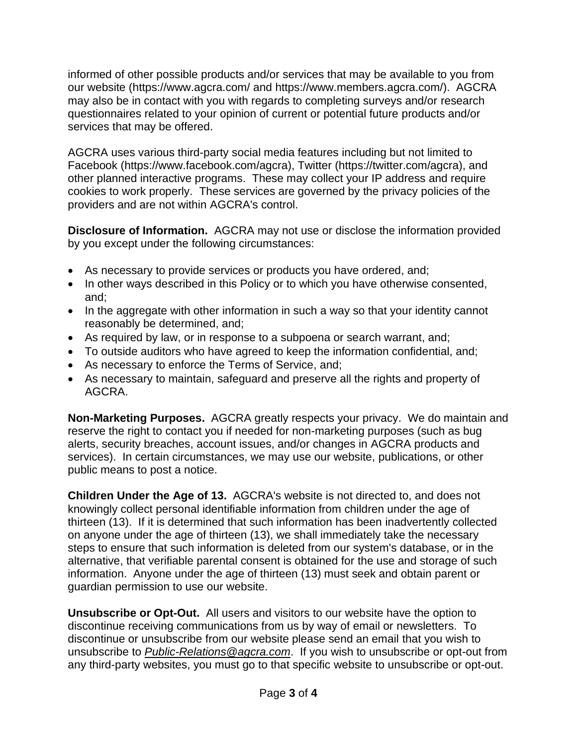informed of other possible products and/or services that may be available to you from our website (https://www.agcra.com/ and https://www.members.agcra.com/). AGCRA may also be in contact with you with regards to completing surveys and/or research questionnaires related to your opinion of current or potential future products and/or services that may be offered.

AGCRA uses various third-party social media features including but not limited to Facebook (https://www.facebook.com/agcra), Twitter (https://twitter.com/agcra), and other planned interactive programs. These may collect your IP address and require cookies to work properly. These services are governed by the privacy policies of the providers and are not within AGCRA's control.

**Disclosure of Information.** AGCRA may not use or disclose the information provided by you except under the following circumstances:

- As necessary to provide services or products you have ordered, and;
- In other ways described in this Policy or to which you have otherwise consented, and;
- In the aggregate with other information in such a way so that your identity cannot reasonably be determined, and;
- As required by law, or in response to a subpoena or search warrant, and;
- To outside auditors who have agreed to keep the information confidential, and;
- As necessary to enforce the Terms of Service, and;
- As necessary to maintain, safeguard and preserve all the rights and property of AGCRA.

**Non-Marketing Purposes.** AGCRA greatly respects your privacy. We do maintain and reserve the right to contact you if needed for non-marketing purposes (such as bug alerts, security breaches, account issues, and/or changes in AGCRA products and services). In certain circumstances, we may use our website, publications, or other public means to post a notice.

**Children Under the Age of 13.** AGCRA's website is not directed to, and does not knowingly collect personal identifiable information from children under the age of thirteen (13). If it is determined that such information has been inadvertently collected on anyone under the age of thirteen (13), we shall immediately take the necessary steps to ensure that such information is deleted from our system's database, or in the alternative, that verifiable parental consent is obtained for the use and storage of such information. Anyone under the age of thirteen (13) must seek and obtain parent or guardian permission to use our website.

**Unsubscribe or Opt-Out.** All users and visitors to our website have the option to discontinue receiving communications from us by way of email or newsletters. To discontinue or unsubscribe from our website please send an email that you wish to unsubscribe to *[Public-Relations@agcra.com](mailto:Public-Relations@agcra.com)*. If you wish to unsubscribe or opt-out from any third-party websites, you must go to that specific website to unsubscribe or opt-out.